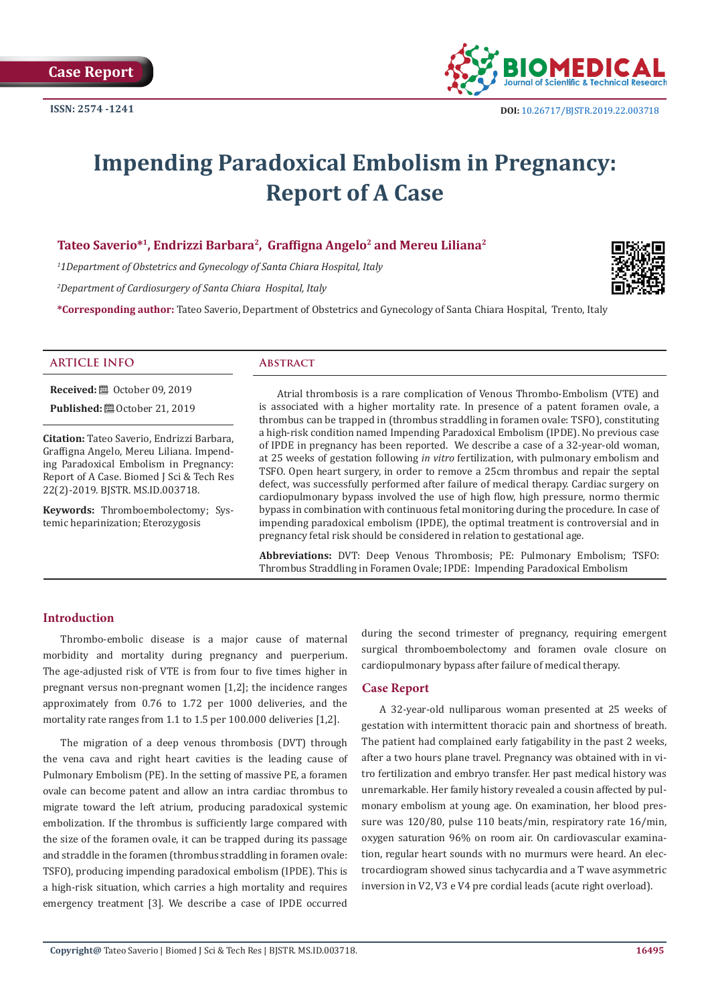

# **Impending Paradoxical Embolism in Pregnancy: Report of A Case**

# **Tateo Saverio\*1, Endrizzi Barbara2, Graffigna Angelo2 and Mereu Liliana2**

*1 1Department of Obstetrics and Gynecology of Santa Chiara Hospital, Italy*

*2 Department of Cardiosurgery of Santa Chiara Hospital, Italy*

**\*Corresponding author:** Tateo Saverio, Department of Obstetrics and Gynecology of Santa Chiara Hospital, Trento, Italy



#### **ARTICLE INFO Abstract**

**Received:** ■ October 09, 2019 **Published:**  $\blacksquare$  October 21, 2019

**Citation:** Tateo Saverio, Endrizzi Barbara, Graffigna Angelo, Mereu Liliana. Impending Paradoxical Embolism in Pregnancy: Report of A Case. Biomed J Sci & Tech Res 22(2)-2019. BJSTR. MS.ID.003718.

**Keywords:** Thromboembolectomy; Systemic heparinization; Eterozygosis

Atrial thrombosis is a rare complication of Venous Thrombo-Embolism (VTE) and is associated with a higher mortality rate. In presence of a patent foramen ovale, a thrombus can be trapped in (thrombus straddling in foramen ovale: TSFO), constituting a high-risk condition named Impending Paradoxical Embolism (IPDE). No previous case of IPDE in pregnancy has been reported. We describe a case of a 32-year-old woman, at 25 weeks of gestation following *in vitro* fertilization, with pulmonary embolism and TSFO. Open heart surgery, in order to remove a 25cm thrombus and repair the septal defect, was successfully performed after failure of medical therapy. Cardiac surgery on cardiopulmonary bypass involved the use of high flow, high pressure, normo thermic bypass in combination with continuous fetal monitoring during the procedure. In case of impending paradoxical embolism (IPDE), the optimal treatment is controversial and in pregnancy fetal risk should be considered in relation to gestational age.

**Abbreviations:** DVT: Deep Venous Thrombosis; PE: Pulmonary Embolism; TSFO: Thrombus Straddling in Foramen Ovale; IPDE: Impending Paradoxical Embolism

# **Introduction**

Thrombo-embolic disease is a major cause of maternal morbidity and mortality during pregnancy and puerperium. The age-adjusted risk of VTE is from four to five times higher in pregnant versus non-pregnant women [1,2]; the incidence ranges approximately from 0.76 to 1.72 per 1000 deliveries, and the mortality rate ranges from 1.1 to 1.5 per 100.000 deliveries [1,2].

The migration of a deep venous thrombosis (DVT) through the vena cava and right heart cavities is the leading cause of Pulmonary Embolism (PE). In the setting of massive PE, a foramen ovale can become patent and allow an intra cardiac thrombus to migrate toward the left atrium, producing paradoxical systemic embolization. If the thrombus is sufficiently large compared with the size of the foramen ovale, it can be trapped during its passage and straddle in the foramen (thrombus straddling in foramen ovale: TSFO), producing impending paradoxical embolism (IPDE). This is a high-risk situation, which carries a high mortality and requires emergency treatment [3]. We describe a case of IPDE occurred

during the second trimester of pregnancy, requiring emergent surgical thromboembolectomy and foramen ovale closure on cardiopulmonary bypass after failure of medical therapy.

## **Case Report**

A 32-year-old nulliparous woman presented at 25 weeks of gestation with intermittent thoracic pain and shortness of breath. The patient had complained early fatigability in the past 2 weeks, after a two hours plane travel. Pregnancy was obtained with in vitro fertilization and embryo transfer. Her past medical history was unremarkable. Her family history revealed a cousin affected by pulmonary embolism at young age. On examination, her blood pressure was 120/80, pulse 110 beats/min, respiratory rate 16/min, oxygen saturation 96% on room air. On cardiovascular examination, regular heart sounds with no murmurs were heard. An electrocardiogram showed sinus tachycardia and a T wave asymmetric inversion in V2, V3 e V4 pre cordial leads (acute right overload).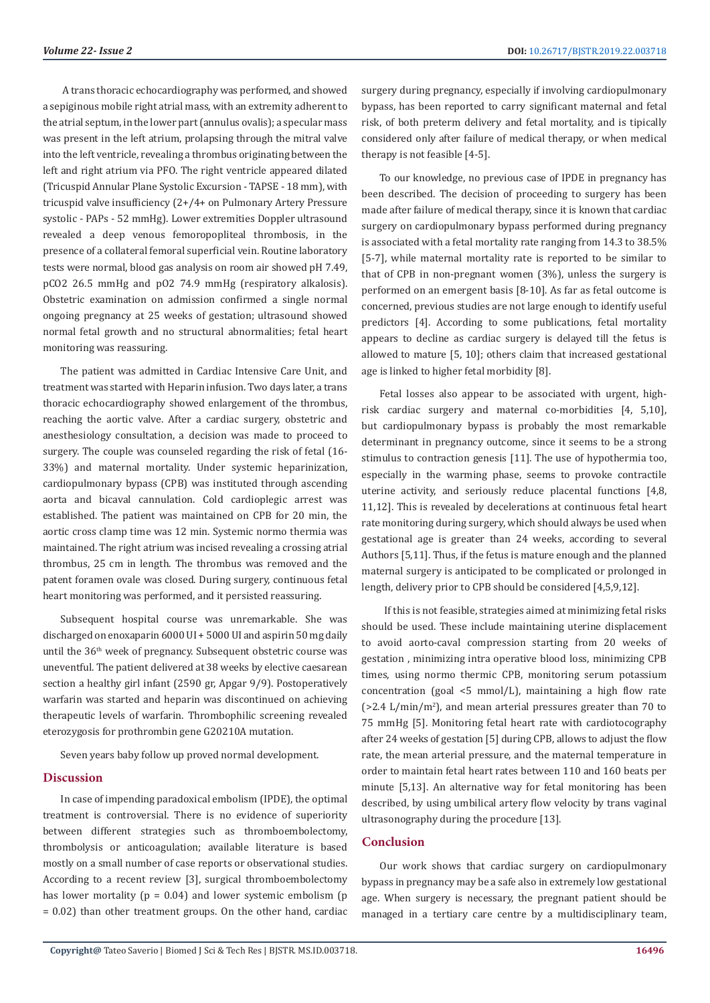A trans thoracic echocardiography was performed, and showed a sepiginous mobile right atrial mass, with an extremity adherent to the atrial septum, in the lower part (annulus ovalis); a specular mass was present in the left atrium, prolapsing through the mitral valve into the left ventricle, revealing a thrombus originating between the left and right atrium via PFO. The right ventricle appeared dilated (Tricuspid Annular Plane Systolic Excursion - TAPSE - 18 mm), with tricuspid valve insufficiency (2+/4+ on Pulmonary Artery Pressure systolic - PAPs - 52 mmHg). Lower extremities Doppler ultrasound revealed a deep venous femoropopliteal thrombosis, in the presence of a collateral femoral superficial vein. Routine laboratory tests were normal, blood gas analysis on room air showed pH 7.49, pCO2 26.5 mmHg and pO2 74.9 mmHg (respiratory alkalosis). Obstetric examination on admission confirmed a single normal ongoing pregnancy at 25 weeks of gestation; ultrasound showed normal fetal growth and no structural abnormalities; fetal heart monitoring was reassuring.

The patient was admitted in Cardiac Intensive Care Unit, and treatment was started with Heparin infusion. Two days later, a trans thoracic echocardiography showed enlargement of the thrombus, reaching the aortic valve. After a cardiac surgery, obstetric and anesthesiology consultation, a decision was made to proceed to surgery. The couple was counseled regarding the risk of fetal (16- 33%) and maternal mortality. Under systemic heparinization, cardiopulmonary bypass (CPB) was instituted through ascending aorta and bicaval cannulation. Cold cardioplegic arrest was established. The patient was maintained on CPB for 20 min, the aortic cross clamp time was 12 min. Systemic normo thermia was maintained. The right atrium was incised revealing a crossing atrial thrombus, 25 cm in length. The thrombus was removed and the patent foramen ovale was closed. During surgery, continuous fetal heart monitoring was performed, and it persisted reassuring.

Subsequent hospital course was unremarkable. She was discharged on enoxaparin 6000 UI + 5000 UI and aspirin 50 mg daily until the 36<sup>th</sup> week of pregnancy. Subsequent obstetric course was uneventful. The patient delivered at 38 weeks by elective caesarean section a healthy girl infant (2590 gr, Apgar 9/9). Postoperatively warfarin was started and heparin was discontinued on achieving therapeutic levels of warfarin. Thrombophilic screening revealed eterozygosis for prothrombin gene G20210A mutation.

Seven years baby follow up proved normal development.

# **Discussion**

In case of impending paradoxical embolism (IPDE), the optimal treatment is controversial. There is no evidence of superiority between different strategies such as thromboembolectomy, thrombolysis or anticoagulation; available literature is based mostly on a small number of case reports or observational studies. According to a recent review [3], surgical thromboembolectomy has lower mortality ( $p = 0.04$ ) and lower systemic embolism ( $p$ = 0.02) than other treatment groups. On the other hand, cardiac surgery during pregnancy, especially if involving cardiopulmonary bypass, has been reported to carry significant maternal and fetal risk, of both preterm delivery and fetal mortality, and is tipically considered only after failure of medical therapy, or when medical therapy is not feasible [4-5].

To our knowledge, no previous case of IPDE in pregnancy has been described. The decision of proceeding to surgery has been made after failure of medical therapy, since it is known that cardiac surgery on cardiopulmonary bypass performed during pregnancy is associated with a fetal mortality rate ranging from 14.3 to 38.5% [5-7], while maternal mortality rate is reported to be similar to that of CPB in non-pregnant women (3%), unless the surgery is performed on an emergent basis [8-10]. As far as fetal outcome is concerned, previous studies are not large enough to identify useful predictors [4]. According to some publications, fetal mortality appears to decline as cardiac surgery is delayed till the fetus is allowed to mature [5, 10]; others claim that increased gestational age is linked to higher fetal morbidity [8].

Fetal losses also appear to be associated with urgent, highrisk cardiac surgery and maternal co-morbidities [4, 5,10], but cardiopulmonary bypass is probably the most remarkable determinant in pregnancy outcome, since it seems to be a strong stimulus to contraction genesis [11]. The use of hypothermia too, especially in the warming phase, seems to provoke contractile uterine activity, and seriously reduce placental functions [4,8, 11,12]. This is revealed by decelerations at continuous fetal heart rate monitoring during surgery, which should always be used when gestational age is greater than 24 weeks, according to several Authors [5,11]. Thus, if the fetus is mature enough and the planned maternal surgery is anticipated to be complicated or prolonged in length, delivery prior to CPB should be considered [4,5,9,12].

 If this is not feasible, strategies aimed at minimizing fetal risks should be used. These include maintaining uterine displacement to avoid aorto-caval compression starting from 20 weeks of gestation , minimizing intra operative blood loss, minimizing CPB times, using normo thermic CPB, monitoring serum potassium concentration (goal <5 mmol/L), maintaining a high flow rate  $($ >2.4 L/min/m<sup>2</sup>), and mean arterial pressures greater than 70 to 75 mmHg [5]. Monitoring fetal heart rate with cardiotocography after 24 weeks of gestation [5] during CPB, allows to adjust the flow rate, the mean arterial pressure, and the maternal temperature in order to maintain fetal heart rates between 110 and 160 beats per minute [5,13]. An alternative way for fetal monitoring has been described, by using umbilical artery flow velocity by trans vaginal ultrasonography during the procedure [13].

#### **Conclusion**

Our work shows that cardiac surgery on cardiopulmonary bypass in pregnancy may be a safe also in extremely low gestational age. When surgery is necessary, the pregnant patient should be managed in a tertiary care centre by a multidisciplinary team,